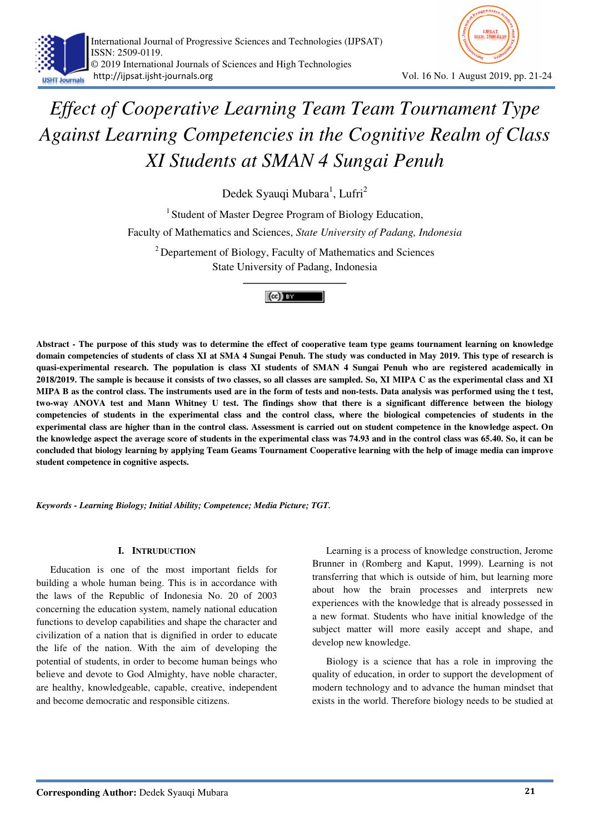



# *Effect of Cooperative Learning Team Team Tournament Type Against Learning Competencies in the Cognitive Realm of Class XI Students at SMAN 4 Sungai Penuh*

Dedek Syauqi Mubara<sup>1</sup>, Lufri<sup>2</sup>

<sup>1</sup> Student of Master Degree Program of Biology Education,

Faculty of Mathematics and Sciences, *State University of Padang, Indonesia* 

<sup>2</sup> Departement of Biology, Faculty of Mathematics and Sciences State University of Padang, Indonesia



**Abstract - The purpose of this study was to determine the effect of cooperative team type geams tournament learning on knowledge domain competencies of students of class XI at SMA 4 Sungai Penuh. The study was conducted in May 2019. This type of research is quasi-experimental research. The population is class XI students of SMAN 4 Sungai Penuh who are registered academically in 2018/2019. The sample is because it consists of two classes, so all classes are sampled. So, XI MIPA C as the experimental class and XI MIPA B as the control class. The instruments used are in the form of tests and non-tests. Data analysis was performed using the t test, two-way ANOVA test and Mann Whitney U test. The findings show that there is a significant difference between the biology competencies of students in the experimental class and the control class, where the biological competencies of students in the experimental class are higher than in the control class. Assessment is carried out on student competence in the knowledge aspect. On the knowledge aspect the average score of students in the experimental class was 74.93 and in the control class was 65.40. So, it can be concluded that biology learning by applying Team Geams Tournament Cooperative learning with the help of image media can improve student competence in cognitive aspects.** 

*Keywords - Learning Biology; Initial Ability; Competence; Media Picture; TGT.* 

## **I. INTRUDUCTION**

Education is one of the most important fields for building a whole human being. This is in accordance with the laws of the Republic of Indonesia No. 20 of 2003 concerning the education system, namely national education functions to develop capabilities and shape the character and civilization of a nation that is dignified in order to educate the life of the nation. With the aim of developing the potential of students, in order to become human beings who believe and devote to God Almighty, have noble character, are healthy, knowledgeable, capable, creative, independent and become democratic and responsible citizens.

Learning is a process of knowledge construction, Jerome Brunner in (Romberg and Kaput, 1999). Learning is not transferring that which is outside of him, but learning more about how the brain processes and interprets new experiences with the knowledge that is already possessed in a new format. Students who have initial knowledge of the subject matter will more easily accept and shape, and develop new knowledge.

Biology is a science that has a role in improving the quality of education, in order to support the development of modern technology and to advance the human mindset that exists in the world. Therefore biology needs to be studied at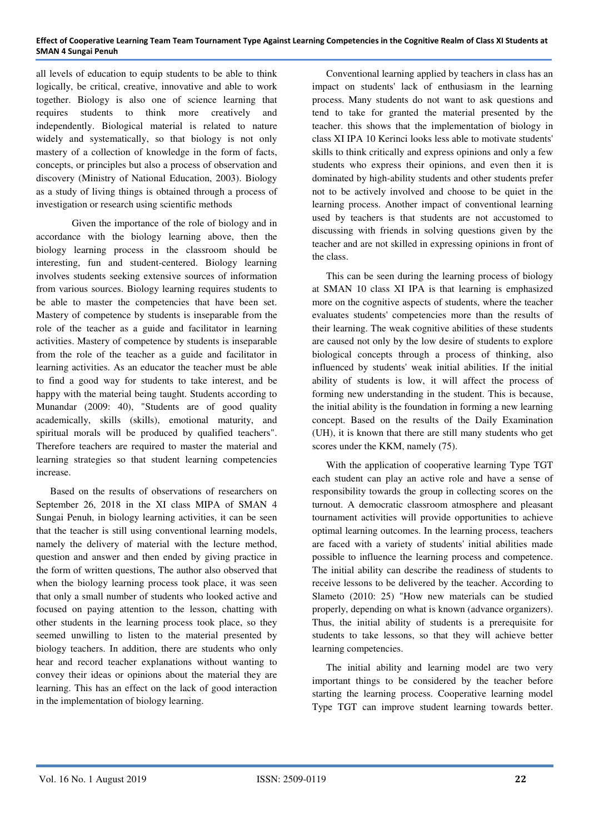all levels of education to equip students to be able to think logically, be critical, creative, innovative and able to work together. Biology is also one of science learning that requires students to think more creatively and independently. Biological material is related to nature widely and systematically, so that biology is not only mastery of a collection of knowledge in the form of facts, concepts, or principles but also a process of observation and discovery (Ministry of National Education, 2003). Biology as a study of living things is obtained through a process of investigation or research using scientific methods

 Given the importance of the role of biology and in accordance with the biology learning above, then the biology learning process in the classroom should be interesting, fun and student-centered. Biology learning involves students seeking extensive sources of information from various sources. Biology learning requires students to be able to master the competencies that have been set. Mastery of competence by students is inseparable from the role of the teacher as a guide and facilitator in learning activities. Mastery of competence by students is inseparable from the role of the teacher as a guide and facilitator in learning activities. As an educator the teacher must be able to find a good way for students to take interest, and be happy with the material being taught. Students according to Munandar (2009: 40), "Students are of good quality academically, skills (skills), emotional maturity, and spiritual morals will be produced by qualified teachers". Therefore teachers are required to master the material and learning strategies so that student learning competencies increase.

Based on the results of observations of researchers on September 26, 2018 in the XI class MIPA of SMAN 4 Sungai Penuh, in biology learning activities, it can be seen that the teacher is still using conventional learning models, namely the delivery of material with the lecture method, question and answer and then ended by giving practice in the form of written questions, The author also observed that when the biology learning process took place, it was seen that only a small number of students who looked active and focused on paying attention to the lesson, chatting with other students in the learning process took place, so they seemed unwilling to listen to the material presented by biology teachers. In addition, there are students who only hear and record teacher explanations without wanting to convey their ideas or opinions about the material they are learning. This has an effect on the lack of good interaction in the implementation of biology learning.

Conventional learning applied by teachers in class has an impact on students' lack of enthusiasm in the learning process. Many students do not want to ask questions and tend to take for granted the material presented by the teacher. this shows that the implementation of biology in class XI IPA 10 Kerinci looks less able to motivate students' skills to think critically and express opinions and only a few students who express their opinions, and even then it is dominated by high-ability students and other students prefer not to be actively involved and choose to be quiet in the learning process. Another impact of conventional learning used by teachers is that students are not accustomed to discussing with friends in solving questions given by the teacher and are not skilled in expressing opinions in front of the class.

This can be seen during the learning process of biology at SMAN 10 class XI IPA is that learning is emphasized more on the cognitive aspects of students, where the teacher evaluates students' competencies more than the results of their learning. The weak cognitive abilities of these students are caused not only by the low desire of students to explore biological concepts through a process of thinking, also influenced by students' weak initial abilities. If the initial ability of students is low, it will affect the process of forming new understanding in the student. This is because, the initial ability is the foundation in forming a new learning concept. Based on the results of the Daily Examination (UH), it is known that there are still many students who get scores under the KKM, namely (75).

With the application of cooperative learning Type TGT each student can play an active role and have a sense of responsibility towards the group in collecting scores on the turnout. A democratic classroom atmosphere and pleasant tournament activities will provide opportunities to achieve optimal learning outcomes. In the learning process, teachers are faced with a variety of students' initial abilities made possible to influence the learning process and competence. The initial ability can describe the readiness of students to receive lessons to be delivered by the teacher. According to Slameto (2010: 25) "How new materials can be studied properly, depending on what is known (advance organizers). Thus, the initial ability of students is a prerequisite for students to take lessons, so that they will achieve better learning competencies.

The initial ability and learning model are two very important things to be considered by the teacher before starting the learning process. Cooperative learning model Type TGT can improve student learning towards better.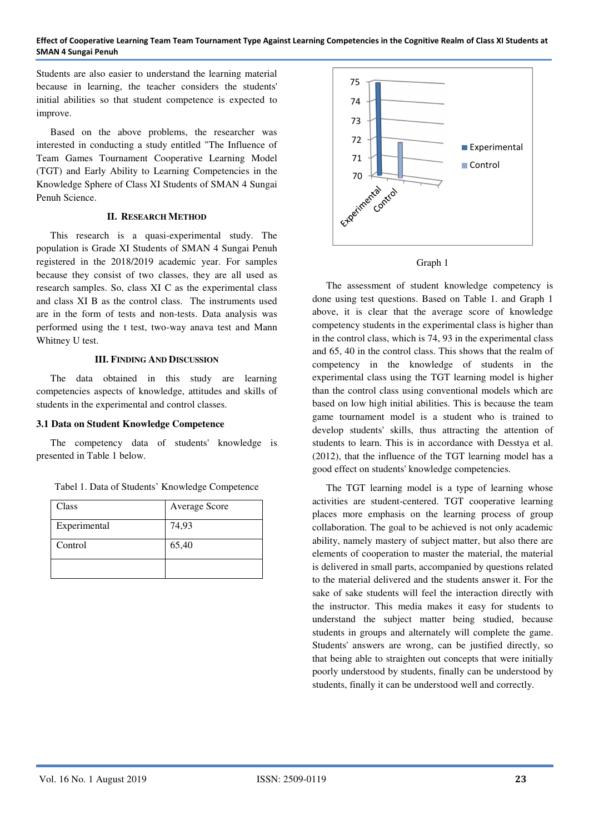#### **Effect of Cooperative Learning Team Team Tournament Type Against Learning Competencies in the Cognitive Realm of Class XI Students at SMAN 4 Sungai Penuh**

Students are also easier to understand the learning material because in learning, the teacher considers the students' initial abilities so that student competence is expected to improve.

Based on the above problems, the researcher was interested in conducting a study entitled "The Influence of Team Games Tournament Cooperative Learning Model (TGT) and Early Ability to Learning Competencies in the Knowledge Sphere of Class XI Students of SMAN 4 Sungai Penuh Science.

#### **II. RESEARCH METHOD**

This research is a quasi-experimental study. The population is Grade XI Students of SMAN 4 Sungai Penuh registered in the 2018/2019 academic year. For samples because they consist of two classes, they are all used as research samples. So, class XI C as the experimental class and class XI B as the control class. The instruments used are in the form of tests and non-tests. Data analysis was performed using the t test, two-way anava test and Mann Whitney U test.

#### **III. FINDING AND DISCUSSION**

The data obtained in this study are learning competencies aspects of knowledge, attitudes and skills of students in the experimental and control classes.

## **3.1 Data on Student Knowledge Competence**

The competency data of students' knowledge is presented in Table 1 below.

Tabel 1. Data of Students' Knowledge Competence

| Class        | Average Score |
|--------------|---------------|
| Experimental | 74,93         |
| Control      | 65,40         |
|              |               |





The assessment of student knowledge competency is done using test questions. Based on Table 1. and Graph 1 above, it is clear that the average score of knowledge competency students in the experimental class is higher than in the control class, which is 74, 93 in the experimental class and 65, 40 in the control class. This shows that the realm of competency in the knowledge of students in the experimental class using the TGT learning model is higher than the control class using conventional models which are based on low high initial abilities. This is because the team game tournament model is a student who is trained to develop students' skills, thus attracting the attention of students to learn. This is in accordance with Desstya et al. (2012), that the influence of the TGT learning model has a good effect on students' knowledge competencies.

The TGT learning model is a type of learning whose activities are student-centered. TGT cooperative learning places more emphasis on the learning process of group collaboration. The goal to be achieved is not only academic ability, namely mastery of subject matter, but also there are elements of cooperation to master the material, the material is delivered in small parts, accompanied by questions related to the material delivered and the students answer it. For the sake of sake students will feel the interaction directly with the instructor. This media makes it easy for students to understand the subject matter being studied, because students in groups and alternately will complete the game. Students' answers are wrong, can be justified directly, so that being able to straighten out concepts that were initially poorly understood by students, finally can be understood by students, finally it can be understood well and correctly.